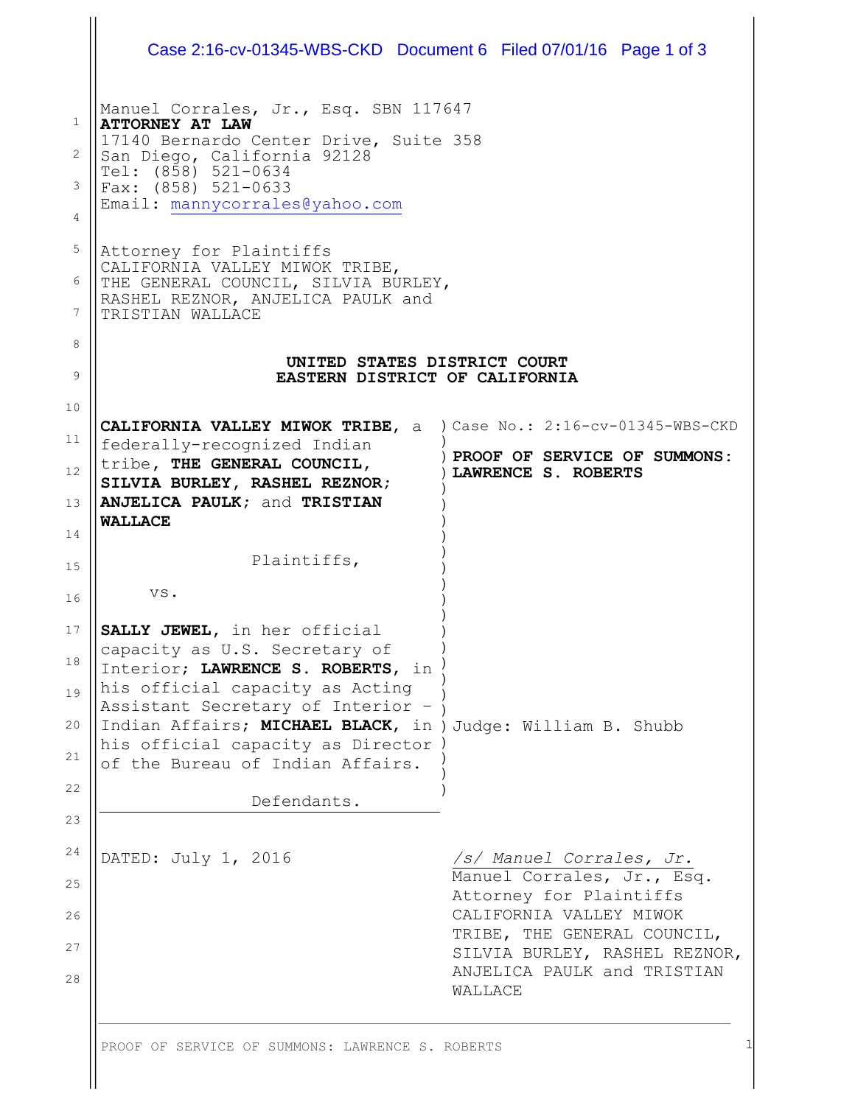|                  | Case 2:16-cv-01345-WBS-CKD Document 6 Filed 07/01/16 Page 1 of 3                                                                                                                                                         |                                                              |  |  |  |  |  |
|------------------|--------------------------------------------------------------------------------------------------------------------------------------------------------------------------------------------------------------------------|--------------------------------------------------------------|--|--|--|--|--|
| 1<br>2<br>3<br>4 | Manuel Corrales, Jr., Esq. SBN 117647<br><b>ATTORNEY AT LAW</b><br>17140 Bernardo Center Drive, Suite 358<br>San Diego, California 92128<br>Tel: (858) 521-0634<br>Fax: (858) 521-0633<br>Email: mannycorrales@yahoo.com |                                                              |  |  |  |  |  |
| 5<br>6<br>7      | Attorney for Plaintiffs<br>CALIFORNIA VALLEY MIWOK TRIBE,<br>THE GENERAL COUNCIL, SILVIA BURLEY,<br>RASHEL REZNOR, ANJELICA PAULK and<br>TRISTIAN WALLACE                                                                |                                                              |  |  |  |  |  |
| 8<br>9           | UNITED STATES DISTRICT COURT<br>EASTERN DISTRICT OF CALIFORNIA                                                                                                                                                           |                                                              |  |  |  |  |  |
| 10               |                                                                                                                                                                                                                          |                                                              |  |  |  |  |  |
| 11<br>12         | CALIFORNIA VALLEY MIWOK TRIBE, a ) Case No.: 2:16-cv-01345-WBS-CKD<br>federally-recognized Indian<br>tribe, THE GENERAL COUNCIL,                                                                                         | ) PROOF OF SERVICE OF SUMMONS:                               |  |  |  |  |  |
|                  | SILVIA BURLEY, RASHEL REZNOR;                                                                                                                                                                                            | LAWRENCE S. ROBERTS                                          |  |  |  |  |  |
| 13<br>14         | ANJELICA PAULK; and TRISTIAN<br><b>WALLACE</b>                                                                                                                                                                           |                                                              |  |  |  |  |  |
|                  | Plaintiffs,                                                                                                                                                                                                              |                                                              |  |  |  |  |  |
| 15<br>16         | VS.                                                                                                                                                                                                                      |                                                              |  |  |  |  |  |
| 17<br>18<br>19   | SALLY JEWEL, in her official<br>capacity as U.S. Secretary of<br>Interior; LAWRENCE S. ROBERTS, in<br>his official capacity as Acting<br>Assistant Secretary of Interior -                                               |                                                              |  |  |  |  |  |
| 20<br>21         | Indian Affairs; MICHAEL BLACK, in ) Judge: William B. Shubb<br>his official capacity as Director<br>of the Bureau of Indian Affairs.                                                                                     |                                                              |  |  |  |  |  |
| 22               | Defendants.                                                                                                                                                                                                              |                                                              |  |  |  |  |  |
| 23               |                                                                                                                                                                                                                          |                                                              |  |  |  |  |  |
| 24<br>25         | DATED: July 1, 2016                                                                                                                                                                                                      | /s/ Manuel Corrales, Jr.<br>Manuel Corrales, Jr., Esq.       |  |  |  |  |  |
| 26               |                                                                                                                                                                                                                          | Attorney for Plaintiffs<br>CALIFORNIA VALLEY MIWOK           |  |  |  |  |  |
| 27               |                                                                                                                                                                                                                          | TRIBE, THE GENERAL COUNCIL,<br>SILVIA BURLEY, RASHEL REZNOR, |  |  |  |  |  |
| 28               |                                                                                                                                                                                                                          | ANJELICA PAULK and TRISTIAN<br>WALLACE                       |  |  |  |  |  |
|                  | PROOF OF SERVICE OF SUMMONS: LAWRENCE S. ROBERTS                                                                                                                                                                         |                                                              |  |  |  |  |  |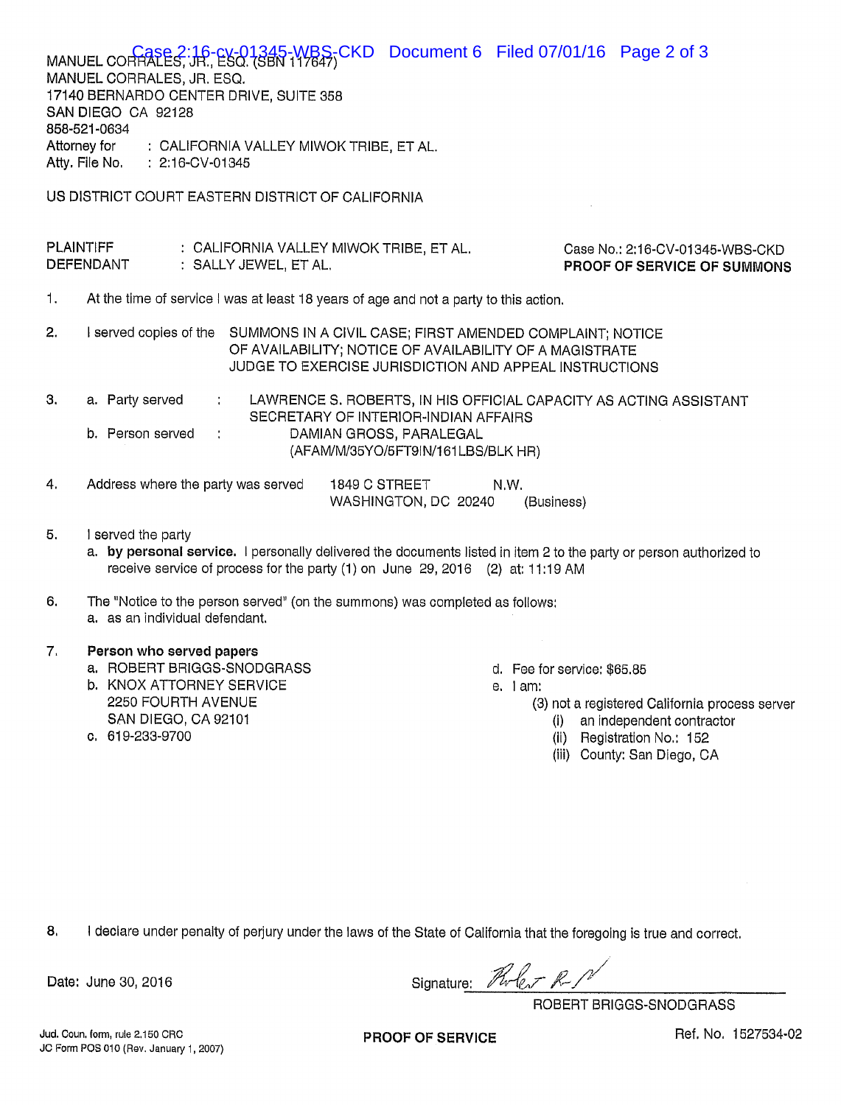|                                                  | MANUEL CORRALES, JR., ESQ. (SBN 197647) CKD<br>MANUEL CORRALES, JR. ESQ.<br>17140 BERNARDO CENTER DRIVE, SUITE 358<br>SAN DIEGO CA 92128<br>858-521-0634<br>Attorney for<br>: CALIFORNIA VALLEY MIWOK TRIBE, ET AL.<br>Atty. File No. : 2:16-CV-01345 |                                      | Document 6 Filed 07/01/16 Page 2 of 3                         |                    |  |                                                                   |  |
|--------------------------------------------------|-------------------------------------------------------------------------------------------------------------------------------------------------------------------------------------------------------------------------------------------------------|--------------------------------------|---------------------------------------------------------------|--------------------|--|-------------------------------------------------------------------|--|
| US DISTRICT COURT EASTERN DISTRICT OF CALIFORNIA |                                                                                                                                                                                                                                                       |                                      |                                                               |                    |  |                                                                   |  |
|                                                  |                                                                                                                                                                                                                                                       |                                      |                                                               |                    |  |                                                                   |  |
|                                                  | <b>PLAINTIFF</b><br>: CALIFORNIA VALLEY MIWOK TRIBE, ET AL.<br>Case No.: 2:16-CV-01345-WBS-CKD<br><b>DEFENDANT</b><br>: SALLY JEWEL, ET AL.<br>PROOF OF SERVICE OF SUMMONS                                                                            |                                      |                                                               |                    |  |                                                                   |  |
| 1.                                               | At the time of service I was at least 18 years of age and not a party to this action.                                                                                                                                                                 |                                      |                                                               |                    |  |                                                                   |  |
| 2.                                               | I served copies of the SUMMONS IN A CIVIL CASE; FIRST AMENDED COMPLAINT; NOTICE<br>OF AVAILABILITY; NOTICE OF AVAILABILITY OF A MAGISTRATE<br>JUDGE TO EXERCISE JURISDICTION AND APPEAL INSTRUCTIONS                                                  |                                      |                                                               |                    |  |                                                                   |  |
| 3.                                               | a. Party served<br>$\mathcal{L}^{\text{max}}$                                                                                                                                                                                                         | SECRETARY OF INTERIOR-INDIAN AFFAIRS |                                                               |                    |  | LAWRENCE S. ROBERTS, IN HIS OFFICIAL CAPACITY AS ACTING ASSISTANT |  |
|                                                  | b. Person served                                                                                                                                                                                                                                      |                                      | DAMIAN GROSS, PARALEGAL<br>(AFAM/M/35YO/5FT9IN/161LBS/BLK HR) |                    |  |                                                                   |  |
| 4.                                               | Address where the party was served                                                                                                                                                                                                                    | 1849 C STREET                        | WASHINGTON, DC 20240                                          | N.W.<br>(Business) |  |                                                                   |  |
| 5.                                               | I served the party<br>a hy nersonal service I personally delivered the documents listed in item 2 to the party or person authorized to                                                                                                                |                                      |                                                               |                    |  |                                                                   |  |

**onal service.** I personally delivered the documents listed in item 2 to the party or person authorized to a. uy pe receive service of process for the party (1) on June 29, 2016 (2) at: 11:19 AM

The "Notice to the person served" (on the summons) was completed as follows: 6. a. as an individual defendant.

## 7. Person who served papers

- a. ROBERT BRIGGS-SNODGRASS
- b. KNOX ATTORNEY SERVICE 2250 FOURTH AVENUE SAN DIEGO, CA 92101
- c. 619-233-9700
- d. Fee for service: \$65.85
- $e.$  1 am:
	- (3) not a registered California process server
		- (i) an independent contractor
		- (ii) Registration No.: 152
		- (iii) County: San Diego, CA

I declare under penalty of perjury under the laws of the State of California that the foregoing is true and correct. 8.

Date: June 30, 2016

Signature: Pluler R.P

ROBERT BRIGGS-SNODGRASS

Jud. Coun, form, rule 2,150 CRC JC Form POS 010 (Rev. January 1, 2007)

**PROOF OF SERVICE** 

Ref. No. 1527534-02